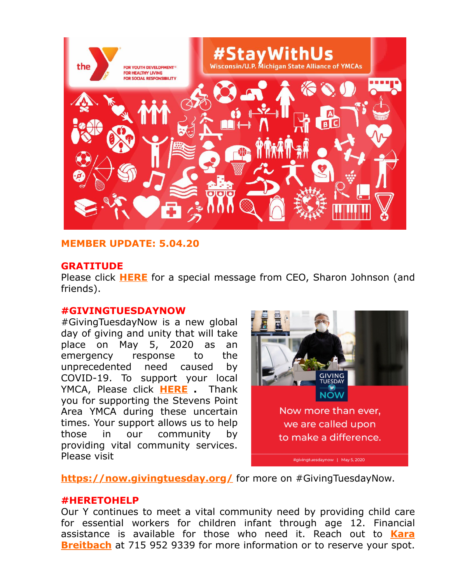

## **MEMBER UPDATE: 5.04.20**

#### **GRATITUDE**

Please click **[HERE](https://www.spymca.org/wp-content/uploads/2020/05/SPYMCA_TY_5420-HD-720p.mp4?utm_source=Member+Update%3A+5.04.20&utm_campaign=MemberUpdate+32720&utm_medium=email)** for a special message from CEO, Sharon Johnson (and friends).

#### **#GIVINGTUESDAYNOW**

#GivingTuesdayNow is a new global day of giving and unity that will take place on May 5, 2020 as an emergency response to the unprecedented need caused by COVID-19. To support your local YMCA, Please click **[HERE](https://reg.spymca.org/cgi-bin/ymweb.pl?ADDSFM=Y&utm_source=Member+Update%3A+5.04.20&utm_campaign=MemberUpdate+32720&utm_medium=email) .** Thank you for supporting the Stevens Point Area YMCA during these uncertain times. Your support allows us to help those in our community by providing vital community services. Please visit



**[https://now.givingtuesday.org/](https://now.givingtuesday.org/?utm_source=Member+Update%3A+5.04.20&utm_campaign=MemberUpdate+32720&utm_medium=email)** for more on #GivingTuesdayNow.

#### **#HERETOHELP**

Our Y continues to meet a vital community need by providing child care for essential workers for children infant through age 12. Financial [assistance is available for those who need it. Reach out to](mailto:kbreitbach@spymca.org) **Kara Breitbach** at 715 952 9339 for more information or to reserve your spot.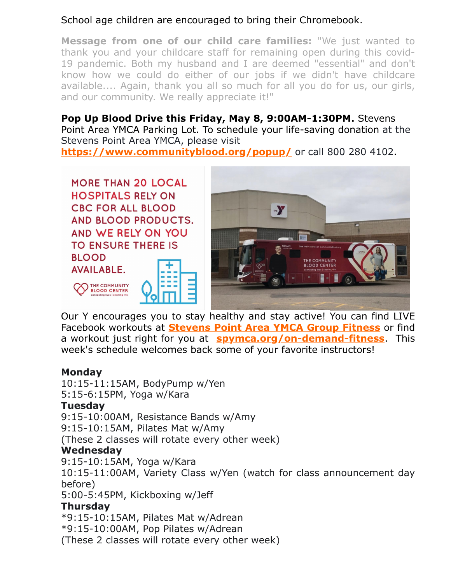# School age children are encouraged to bring their Chromebook.

**Message from one of our child care families:** "We just wanted to thank you and your childcare staff for remaining open during this covid-19 pandemic. Both my husband and I are deemed "essential" and don't know how we could do either of our jobs if we didn't have childcare available.... Again, thank you all so much for all you do for us, our girls, and our community. We really appreciate it!"

# **Pop Up Blood Drive this Friday, May 8, 9:00AM-1:30PM.** Stevens

Point Area YMCA Parking Lot. To schedule your life-saving donation at the Stevens Point Area YMCA, please visit

**[https://www.communityblood.org/popup/](https://www.communityblood.org/popup/?utm_source=Member+Update%3A+5.04.20&utm_campaign=MemberUpdate+32720&utm_medium=email)** or call 800 280 4102.





Our Y encourages you to stay healthy and stay active! You can find LIVE Facebook workouts at **[Stevens Point Area YMCA Group Fitness](https://www.facebook.com/groups/1477830565598787/)** or find a workout just right for you at **[spymca.org/on-demand-fitness](http://www.spymca.org/on-demand-fitness?utm_source=Member+Update%3A+5.04.20&utm_campaign=MemberUpdate+32720&utm_medium=email)**. This week's schedule welcomes back some of your favorite instructors!

## **Monday**

10:15-11:15AM, BodyPump w/Yen 5:15-6:15PM, Yoga w/Kara **Tuesday** 9:15-10:00AM, Resistance Bands w/Amy 9:15-10:15AM, Pilates Mat w/Amy (These 2 classes will rotate every other week) **Wednesday** 9:15-10:15AM, Yoga w/Kara 10:15-11:00AM, Variety Class w/Yen (watch for class announcement day before) 5:00-5:45PM, Kickboxing w/Jeff **Thursday** \*9:15-10:15AM, Pilates Mat w/Adrean \*9:15-10:00AM, Pop Pilates w/Adrean

(These 2 classes will rotate every other week)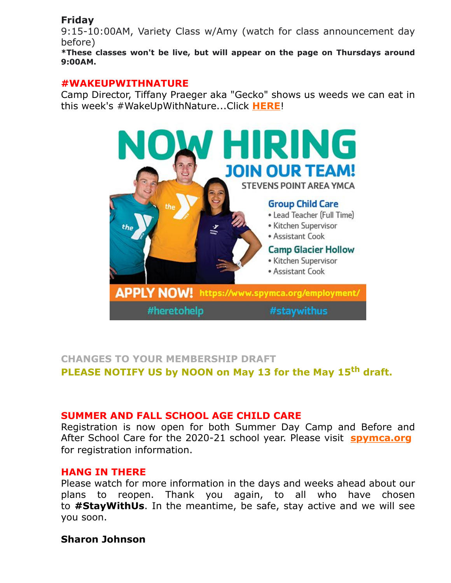# **Friday**

9:15-10:00AM, Variety Class w/Amy (watch for class announcement day before)

**\*These classes won't be live, but will appear on the page on Thursdays around 9:00AM.**

### **#WAKEUPWITHNATURE**

Camp Director, Tiffany Praeger aka "Gecko" shows us weeds we can eat in this week's #WakeUpWithNature...Click **[HERE](https://www.facebook.com/YCampGlacierHollow/videos/919354121850521/)**!



# **CHANGES TO YOUR MEMBERSHIP DRAFT PLEASE NOTIFY US by NOON on May 13 for the May 15th draft.**

## **SUMMER AND FALL SCHOOL AGE CHILD CARE**

Registration is now open for both Summer Day Camp and Before and After School Care for the 2020-21 school year. Please visit **spymca.org** for registration information.

#### **HANG IN THERE**

Please watch for more information in the days and weeks ahead about our plans to reopen. Thank you again, to all who have chosen to **#StayWithUs**. In the meantime, be safe, stay active and we will see you soon.

## **Sharon Johnson**